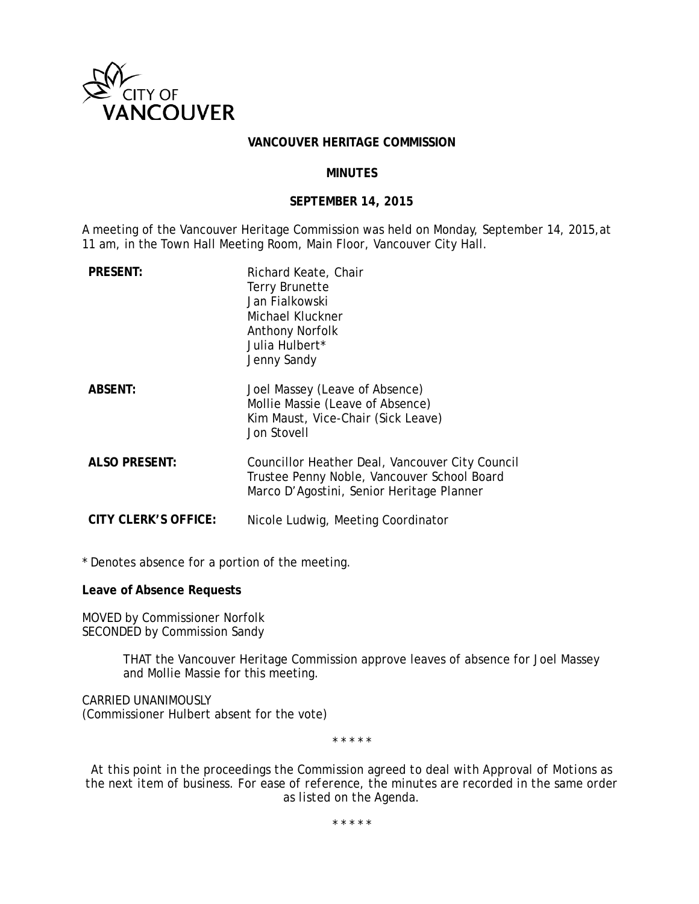

#### **VANCOUVER HERITAGE COMMISSION**

#### **MINUTES**

#### **SEPTEMBER 14, 2015**

A meeting of the Vancouver Heritage Commission was held on Monday, September 14, 2015,at 11 am, in the Town Hall Meeting Room, Main Floor, Vancouver City Hall.

| <b>PRESENT:</b>      | Richard Keate, Chair<br><b>Terry Brunette</b><br>Jan Fialkowski<br>Michael Kluckner<br><b>Anthony Norfolk</b><br>Julia Hulbert*<br>Jenny Sandy |
|----------------------|------------------------------------------------------------------------------------------------------------------------------------------------|
| <b>ABSENT:</b>       | Joel Massey (Leave of Absence)<br>Mollie Massie (Leave of Absence)<br>Kim Maust, Vice-Chair (Sick Leave)<br><b>Jon Stovell</b>                 |
| <b>ALSO PRESENT:</b> | Councillor Heather Deal, Vancouver City Council<br>Trustee Penny Noble, Vancouver School Board<br>Marco D'Agostini, Senior Heritage Planner    |
| CITY CLERK'S OFFICE: | Nicole Ludwig, Meeting Coordinator                                                                                                             |

\* Denotes absence for a portion of the meeting.

**Leave of Absence Requests**

MOVED by Commissioner Norfolk SECONDED by Commission Sandy

> THAT the Vancouver Heritage Commission approve leaves of absence for Joel Massey and Mollie Massie for this meeting.

CARRIED UNANIMOUSLY (Commissioner Hulbert absent for the vote)

\* \* \* \* \*

*At this point in the proceedings the Commission agreed to deal with Approval of Motions as the next item of business. For ease of reference, the minutes are recorded in the same order as listed on the Agenda.*

*\* \* \* \* \**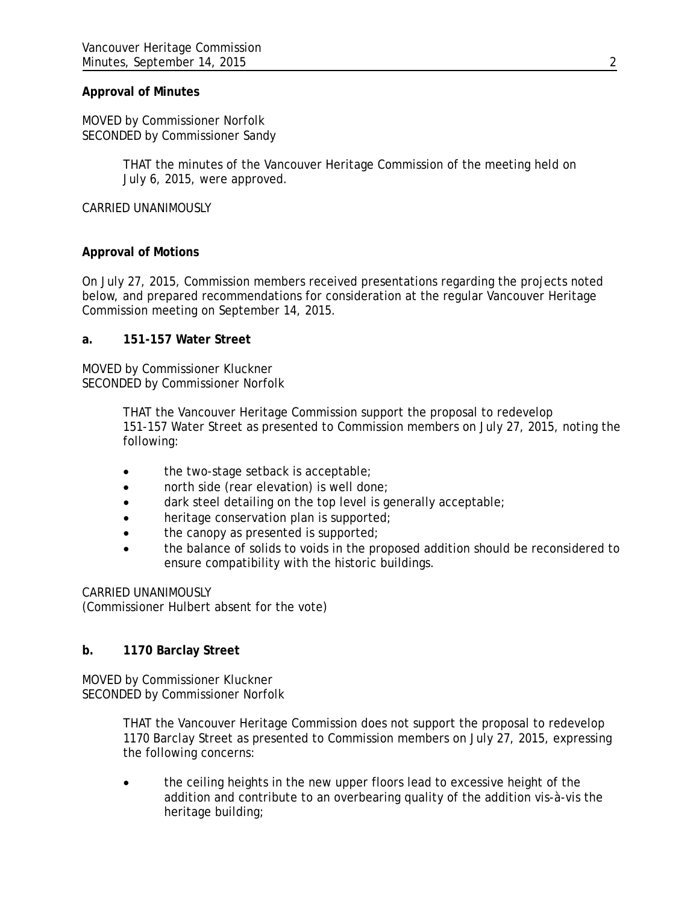## **Approval of Minutes**

MOVED by Commissioner Norfolk SECONDED by Commissioner Sandy

> THAT the minutes of the Vancouver Heritage Commission of the meeting held on July 6, 2015, were approved.

CARRIED UNANIMOUSLY

## **Approval of Motions**

On July 27, 2015, Commission members received presentations regarding the projects noted below, and prepared recommendations for consideration at the regular Vancouver Heritage Commission meeting on September 14, 2015.

## **a. 151-157 Water Street**

MOVED by Commissioner Kluckner SECONDED by Commissioner Norfolk

> THAT the Vancouver Heritage Commission support the proposal to redevelop 151-157 Water Street as presented to Commission members on July 27, 2015, noting the following:

- the two-stage setback is acceptable;
- north side (rear elevation) is well done;
- dark steel detailing on the top level is generally acceptable;
- heritage conservation plan is supported;
- the canopy as presented is supported;
- the balance of solids to voids in the proposed addition should be reconsidered to ensure compatibility with the historic buildings.

CARRIED UNANIMOUSLY

(Commissioner Hulbert absent for the vote)

# **b. 1170 Barclay Street**

MOVED by Commissioner Kluckner SECONDED by Commissioner Norfolk

> THAT the Vancouver Heritage Commission does not support the proposal to redevelop 1170 Barclay Street as presented to Commission members on July 27, 2015, expressing the following concerns:

• the ceiling heights in the new upper floors lead to excessive height of the addition and contribute to an overbearing quality of the addition vis-à-vis the heritage building;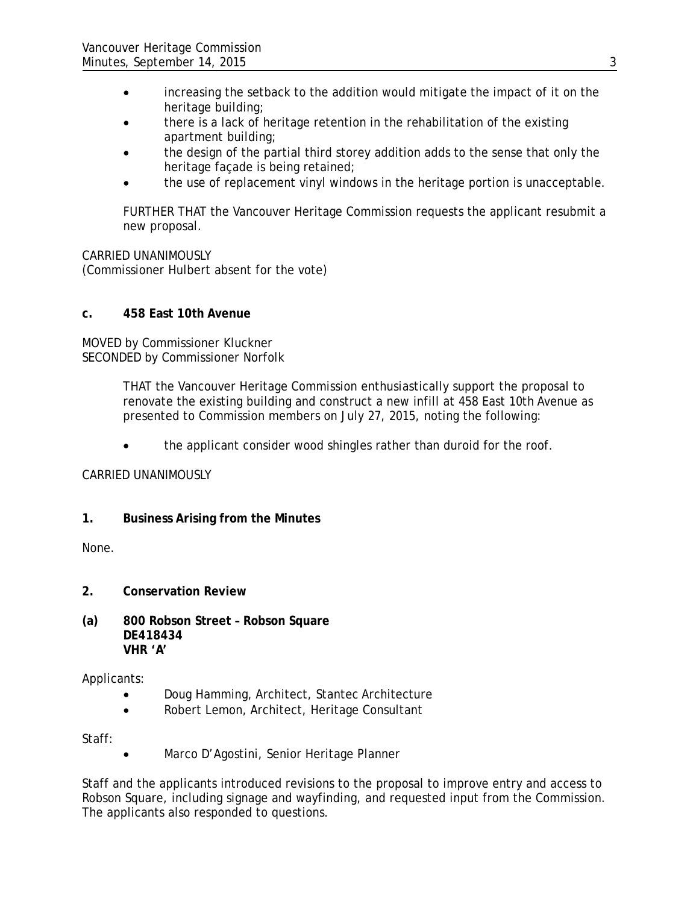- increasing the setback to the addition would mitigate the impact of it on the heritage building;
- there is a lack of heritage retention in the rehabilitation of the existing apartment building;
- the design of the partial third storey addition adds to the sense that only the heritage façade is being retained;
- the use of replacement vinyl windows in the heritage portion is unacceptable.

FURTHER THAT the Vancouver Heritage Commission requests the applicant resubmit a new proposal.

CARRIED UNANIMOUSLY (Commissioner Hulbert absent for the vote)

## **c. 458 East 10th Avenue**

MOVED by Commissioner Kluckner SECONDED by Commissioner Norfolk

> THAT the Vancouver Heritage Commission enthusiastically support the proposal to renovate the existing building and construct a new infill at 458 East 10th Avenue as presented to Commission members on July 27, 2015, noting the following:

• the applicant consider wood shingles rather than duroid for the roof.

# CARRIED UNANIMOUSLY

# **1. Business Arising from the Minutes**

None.

- **2. Conservation Review**
- **(a) 800 Robson Street – Robson Square DE418434 VHR 'A'**

Applicants:

- Doug Hamming, Architect, Stantec Architecture
- Robert Lemon, Architect, Heritage Consultant

Staff:

• Marco D'Agostini, Senior Heritage Planner

Staff and the applicants introduced revisions to the proposal to improve entry and access to Robson Square, including signage and wayfinding, and requested input from the Commission. The applicants also responded to questions.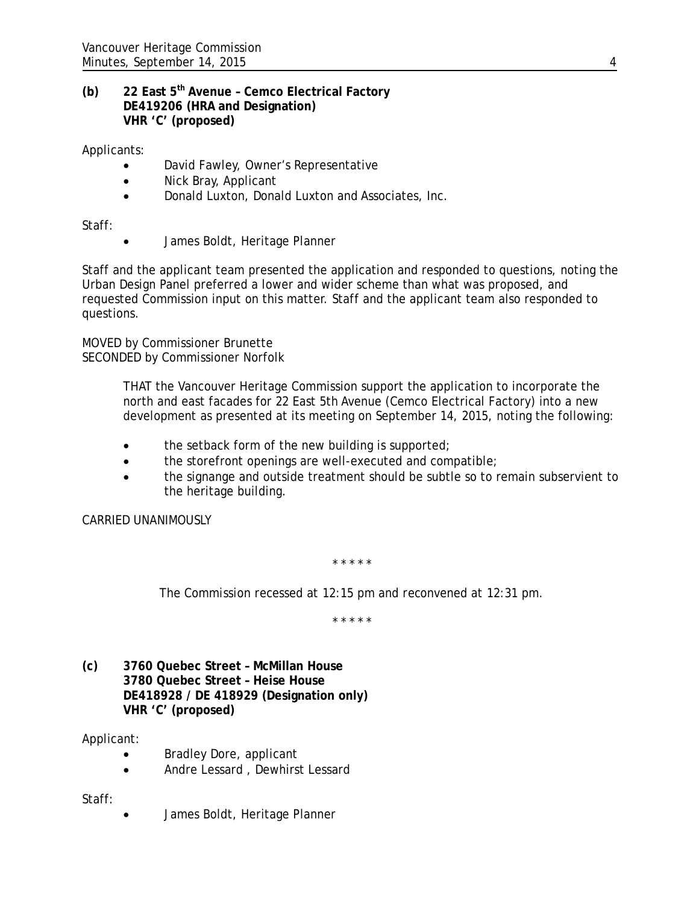# **(b) 22 East 5th Avenue – Cemco Electrical Factory DE419206 (HRA and Designation) VHR 'C' (proposed)**

Applicants:

- David Fawley, Owner's Representative
- Nick Bray, Applicant
- Donald Luxton, Donald Luxton and Associates, Inc.

Staff:

• James Boldt, Heritage Planner

Staff and the applicant team presented the application and responded to questions, noting the Urban Design Panel preferred a lower and wider scheme than what was proposed, and requested Commission input on this matter. Staff and the applicant team also responded to questions.

MOVED by Commissioner Brunette SECONDED by Commissioner Norfolk

> THAT the Vancouver Heritage Commission support the application to incorporate the north and east facades for 22 East 5th Avenue (Cemco Electrical Factory) into a new development as presented at its meeting on September 14, 2015, noting the following:

- the setback form of the new building is supported;
- the storefront openings are well-executed and compatible;
- the signange and outside treatment should be subtle so to remain subservient to the heritage building.

CARRIED UNANIMOUSLY

*\* \* \* \* \**

*The Commission recessed at 12:15 pm and reconvened at 12:31 pm.*

*\* \* \* \* \**

**(c) 3760 Quebec Street – McMillan House 3780 Quebec Street – Heise House DE418928 / DE 418929 (Designation only) VHR 'C' (proposed)**

Applicant:

- Bradley Dore, applicant
- Andre Lessard , Dewhirst Lessard

Staff:

• James Boldt, Heritage Planner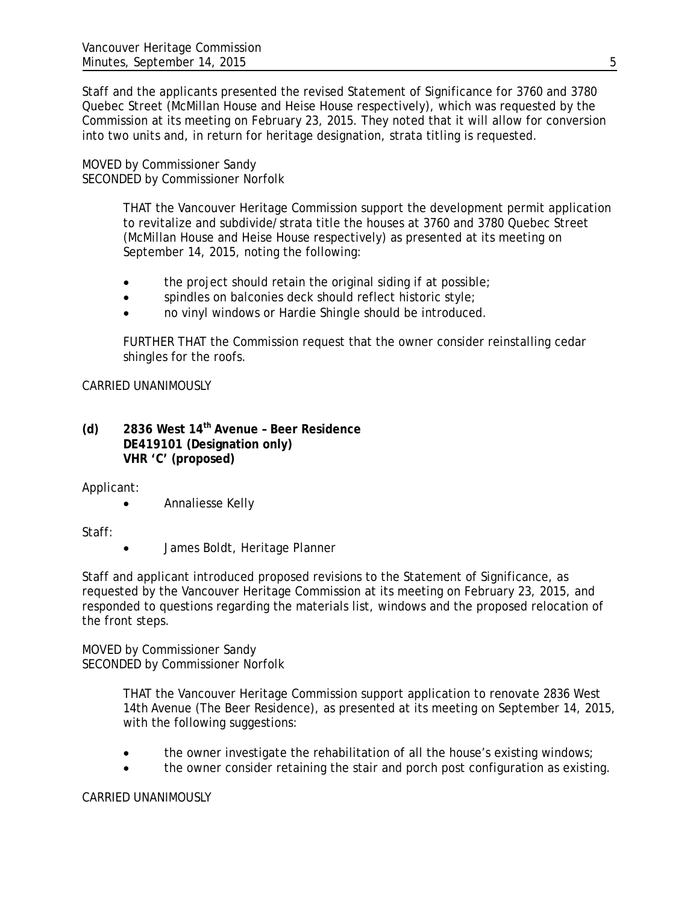Staff and the applicants presented the revised Statement of Significance for 3760 and 3780 Quebec Street (McMillan House and Heise House respectively), which was requested by the Commission at its meeting on February 23, 2015. They noted that it will allow for conversion into two units and, in return for heritage designation, strata titling is requested.

MOVED by Commissioner Sandy SECONDED by Commissioner Norfolk

> THAT the Vancouver Heritage Commission support the development permit application to revitalize and subdivide/strata title the houses at 3760 and 3780 Quebec Street (McMillan House and Heise House respectively) as presented at its meeting on September 14, 2015, noting the following:

- the project should retain the original siding if at possible;
- spindles on balconies deck should reflect historic style;
- no vinyl windows or Hardie Shingle should be introduced.

FURTHER THAT the Commission request that the owner consider reinstalling cedar shingles for the roofs.

CARRIED UNANIMOUSLY

**(d) 2836 West 14th Avenue – Beer Residence DE419101 (Designation only) VHR 'C' (proposed)**

Applicant:

• Annaliesse Kelly

Staff:

• James Boldt, Heritage Planner

Staff and applicant introduced proposed revisions to the Statement of Significance, as requested by the Vancouver Heritage Commission at its meeting on February 23, 2015, and responded to questions regarding the materials list, windows and the proposed relocation of the front steps.

MOVED by Commissioner Sandy SECONDED by Commissioner Norfolk

> THAT the Vancouver Heritage Commission support application to renovate 2836 West 14th Avenue (The Beer Residence), as presented at its meeting on September 14, 2015, with the following suggestions:

- the owner investigate the rehabilitation of all the house's existing windows;
- the owner consider retaining the stair and porch post configuration as existing.

#### CARRIED UNANIMOUSLY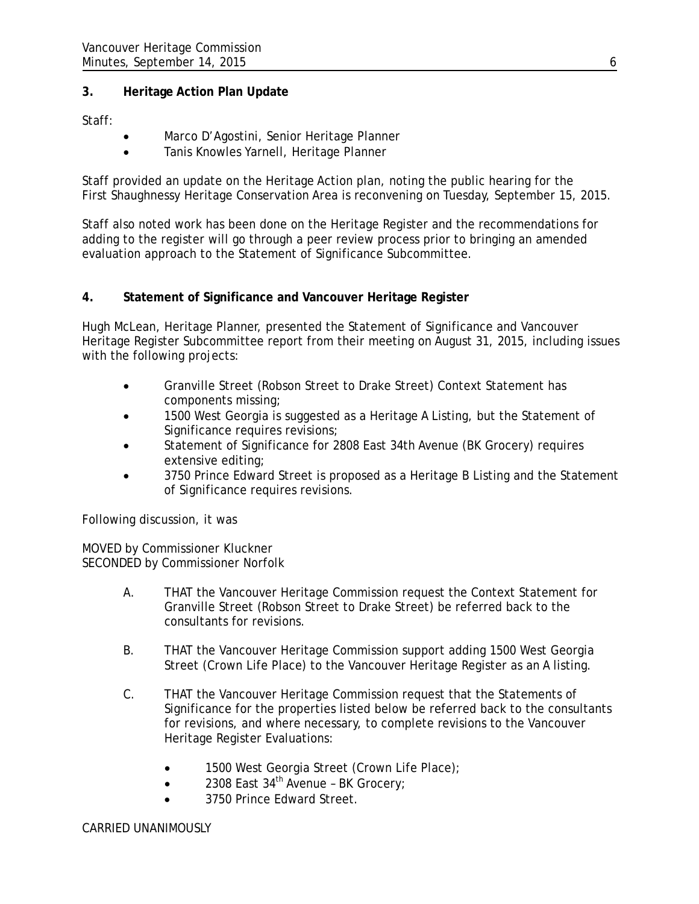# **3. Heritage Action Plan Update**

Staff:

- Marco D'Agostini, Senior Heritage Planner
- Tanis Knowles Yarnell, Heritage Planner

Staff provided an update on the Heritage Action plan, noting the public hearing for the First Shaughnessy Heritage Conservation Area is reconvening on Tuesday, September 15, 2015.

Staff also noted work has been done on the Heritage Register and the recommendations for adding to the register will go through a peer review process prior to bringing an amended evaluation approach to the Statement of Significance Subcommittee.

# **4. Statement of Significance and Vancouver Heritage Register**

Hugh McLean, Heritage Planner, presented the Statement of Significance and Vancouver Heritage Register Subcommittee report from their meeting on August 31, 2015, including issues with the following projects:

- Granville Street (Robson Street to Drake Street) Context Statement has components missing;
- 1500 West Georgia is suggested as a Heritage A Listing, but the Statement of Significance requires revisions;
- Statement of Significance for 2808 East 34th Avenue (BK Grocery) requires extensive editing;
- 3750 Prince Edward Street is proposed as a Heritage B Listing and the Statement of Significance requires revisions.

Following discussion, it was

MOVED by Commissioner Kluckner SECONDED by Commissioner Norfolk

- A. THAT the Vancouver Heritage Commission request the Context Statement for Granville Street (Robson Street to Drake Street) be referred back to the consultants for revisions.
- B. THAT the Vancouver Heritage Commission support adding 1500 West Georgia Street (Crown Life Place) to the Vancouver Heritage Register as an A listing.
- C. THAT the Vancouver Heritage Commission request that the Statements of Significance for the properties listed below be referred back to the consultants for revisions, and where necessary, to complete revisions to the Vancouver Heritage Register Evaluations:
	- 1500 West Georgia Street (Crown Life Place);
	- 2308 East 34th Avenue BK Grocery;
	- 3750 Prince Edward Street.